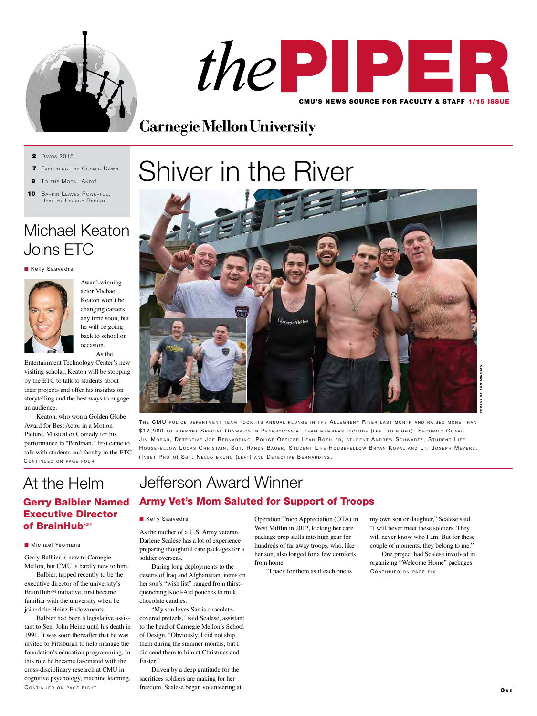



# **Carnegie Mellon University**

**2** Davos 2015

- **7** EXPLORING THE COSMIC DAWN
- **9** To the Moon, ANDY!
- 10 BARKIN LEAVES POWERFUL, HEALTHY LEGACY BEHIND

# Michael Keaton Joins ETC

**Kelly Saavedra** 



Award-winning actor Michael Keaton won't be changing careers any time soon, but he will be going back to school on occasion. As the

Entertainment Technology Center's new visiting scholar, Keaton will be stopping by the ETC to talk to students about their projects and offer his insights on storytelling and the best ways to engage an audience.

CONTINUED ON PAGE FOUR Keaton, who won a Golden Globe Award for Best Actor in a Motion Picture, Musical or Comedy for his performance in "Birdman," first came to talk with students and faculty in the ETC

# At the Helm

## Gerry Balbier Named Executive Director of BrainHub<sup>SM</sup>

#### **n** Michael Yeomans

Gerry Balbier is new to Carnegie Mellon, but CMU is hardly new to him.

Balbier, tapped recently to be the executive director of the university's BrainHubSM initiative, first became familiar with the university when he joined the Heinz Endowments.

CONTINUED ON PAGE EIGHT Balbier had been a legislative assistant to Sen. John Heinz until his death in 1991. It was soon thereafter that he was invited to Pittsburgh to help manage the foundation's education programming. In this role he became fascinated with the cross-disciplinary research at CMU in cognitive psychology, machine learning,

# Shiver in the River



THE CMU POLICE DEPARTMENT TEAM TOOK ITS ANNUAL PLUNGE IN THE ALLEGHENY RIVER LAST MONTH AND RAISED MORE THAN \$12,900 TO SUPPORT SPECIAL OLYMPICS IN PENNSYLVANIA. TEAM MEMBERS INCLUDE (LEFT TO RIGHT): SECURITY GUARD JIM MORAN, DETECTIVE JOE BERNARDING, POLICE OFFICER LEAH BOEHLER, STUDENT ANDREW SCHWARTZ, STUDENT LIFE HOUSEFELLOW LUCAS CHRISTAIN, SGT. RANDY BAUER, STUDENT LIFE HOUSEFELLOW BRYAN KOVAL AND LT. JOSEPH MEYERS. (INSET PHOTO) SGT. NELLO BRUNO (LEFT) AND DETECTIVE BERNARDING.

# Jefferson Award Winner

### Army Vet's Mom Saluted for Support of Troops

#### **Kelly Saavedra**

As the mother of a U.S. Army veteran, Darlene Scalese has a lot of experience preparing thoughtful care packages for a soldier overseas.

During long deployments to the deserts of Iraq and Afghanistan, items on her son's "wish list" ranged from thirstquenching Kool-Aid pouches to milk chocolate candies.

"My son loves Sarris chocolatecovered pretzels," said Scalese, assistant to the head of Carnegie Mellon's School of Design. "Obviously, I did not ship them during the summer months, but I did send them to him at Christmas and Easter."

Driven by a deep gratitude for the sacrifices soldiers are making for her freedom, Scalese began volunteering at Operation Troop Appreciation (OTA) in West Mifflin in 2012, kicking her care package prep skills into high gear for hundreds of far away troops, who, like her son, also longed for a few comforts from home.

"I pack for them as if each one is

my own son or daughter," Scalese said. "I will never meet these soldiers. They will never know who I am. But for these couple of moments, they belong to me."

CONTINUED ON PAGE SIX One project had Scalese involved in organizing "Welcome Home" packages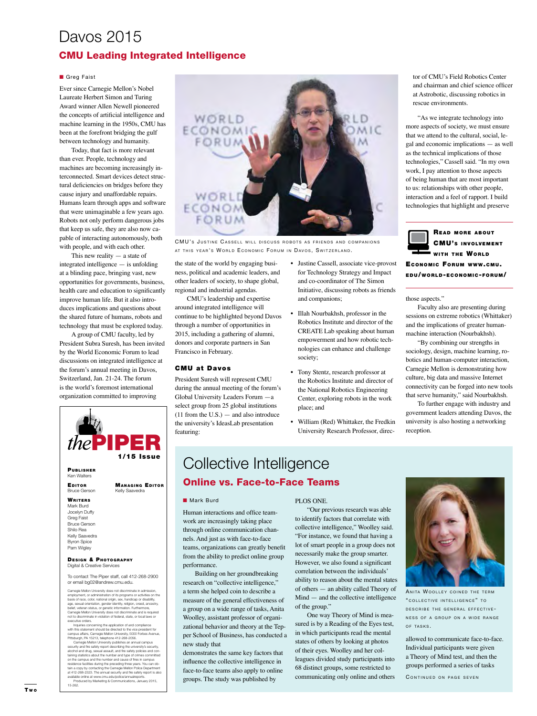# Davos 2015

### CMU Leading Integrated Intelligence

#### **n** Greg Faist

Ever since Carnegie Mellon's Nobel Laureate Herbert Simon and Turing Award winner Allen Newell pioneered the concepts of artificial intelligence and machine learning in the 1950s, CMU has been at the forefront bridging the gulf between technology and humanity.

Today, that fact is more relevant than ever. People, technology and machines are becoming increasingly interconnected. Smart devices detect structural deficiencies on bridges before they cause injury and unaffordable repairs. Humans learn through apps and software that were unimaginable a few years ago. Robots not only perform dangerous jobs that keep us safe, they are also now capable of interacting autonomously, both with people, and with each other.

This new reality  $-$  a state of integrated intelligence — is unfolding at a blinding pace, bringing vast, new opportunities for governments, business, health care and education to significantly improve human life. But it also introduces implications and questions about the shared future of humans, robots and technology that must be explored today.

A group of CMU faculty, led by President Subra Suresh, has been invited by the World Economic Forum to lead discussions on integrated intelligence at the forum's annual meeting in Davos, Switzerland, Jan. 21-24. The forum is the world's foremost international organization committed to improving



**PUBLISHER** Ken Walters

EDITOR MANAGING EDITOR Bruce Gerson Kelly Saavedra

**WRITERS** Mark Burd Jocelyn Duffy Greg Faist Bruce Gerson Shilo Rea Kelly Saavedra Byron Spice Pam Wigley

15-262.

#### DESIGN & PHOTOGRAPHY Digital & Creative Services

To contact The Piper staff, call 412-268-2900 or email bg02@andrew.cmu.edu.

Carnegie Mellon University does not discriminate in admiss ration of its programs or act basis of race, color, national origin, sex, handicap or disability, age, sexual orientation, gender identity, religion, creed, ancestry,<br>belief, veteran status, or genetic information. Furthermore,<br>Carnegie Mellon University does not discriminate and is required<br>not to discriminate in viol

Inquiries concerning the application of and compliance with this statement should be directed to the vice president for<br>campus affairs, Carnegie Mellon University, 5000 Forbes Avenue,<br>Pittsburgh, PA 15213, telephone 412-268-2056.<br>Carnegie Mellon University publishes an annual

alcohol and drug, sexual assault, and fire safety policies and containing statistics about the number and type of crimes committed on the campus and the number and cause of fires in campus residence facilities during the preceding three years. You can ob-tain a copy by contacting the Carnegie Mellon Police Department at 412-268-2323. The annual security and fire safety report is also available online at www.cmu.edu/police/annualreports. Produced by Marketing & Communications, January 2015,



CMU's JUSTINE CASSELL WILL DISCUSS ROBOTS AS FRIENDS AND COMPANIONS AT THIS YEAR'S WORLD ECONOMIC FORUM IN DAVOS, SWITZERLAND.

the state of the world by engaging business, political and academic leaders, and other leaders of society, to shape global, regional and industrial agendas.

CMU's leadership and expertise around integrated intelligence will continue to be highlighted beyond Davos through a number of opportunities in 2015, including a gathering of alumni, donors and corporate partners in San Francisco in February.

#### CMU at Davos

President Suresh will represent CMU during the annual meeting of the forum's Global University Leaders Forum —a select group from 25 global institutions  $(11$  from the U.S.) — and also introduce the university's IdeasLab presentation featuring:

- Justine Cassell, associate vice-provost for Technology Strategy and Impact and co-coordinator of The Simon Initiative, discussing robots as friends and companions;
- Illah Nourbakhsh, professor in the Robotics Institute and director of the CREATE Lab speaking about human empowerment and how robotic technologies can enhance and challenge society;
- Tony Stentz, research professor at the Robotics Institute and director of the National Robotics Engineering Center, exploring robots in the work place; and
- William (Red) Whittaker, the Fredkin University Research Professor, direc-

tor of CMU's Field Robotics Center and chairman and chief science officer at Astrobotic, discussing robotics in rescue environments.

"As we integrate technology into more aspects of society, we must ensure that we attend to the cultural, social, legal and economic implications — as well as the technical implications of those technologies," Cassell said. "In my own work, I pay attention to those aspects of being human that are most important to us: relationships with other people, interaction and a feel of rapport. I build technologies that highlight and preserve



ECONOMIC FORUM WWW.CMU. e d u/wor l d- economic-for um/

those aspects."

Faculty also are presenting during sessions on extreme robotics (Whittaker) and the implications of greater humanmachine interaction (Nourbakhsh).

"By combining our strengths in sociology, design, machine learning, robotics and human-computer interaction, Carnegie Mellon is demonstrating how culture, big data and massive Internet connectivity can be forged into new tools that serve humanity," said Nourbakhsh.

To further engage with industry and government leaders attending Davos, the university is also hosting a networking reception.

## Collective Intelligence Online vs. Face-to-Face Teams

#### **n** Mark Burd

Human interactions and office teamwork are increasingly taking place through online communication channels. And just as with face-to-face teams, organizations can greatly benefit from the ability to predict online group performance.

Building on her groundbreaking research on "collective intelligence," a term she helped coin to describe a measure of the general effectiveness of a group on a wide range of tasks, Anita Woolley, assistant professor of organizational behavior and theory at the Tepper School of Business, has conducted a new study that

demonstrates the same key factors that influence the collective intelligence in face-to-face teams also apply to online groups. The study was published by

#### PLOS ONE.

"Our previous research was able to identify factors that correlate with collective intelligence," Woolley said. "For instance, we found that having a lot of smart people in a group does not necessarily make the group smarter. However, we also found a significant correlation between the individuals' ability to reason about the mental states of others — an ability called Theory of Mind — and the collective intelligence of the group."

One way Theory of Mind is measured is by a Reading of the Eyes test, in which participants read the mental states of others by looking at photos of their eyes. Woolley and her colleagues divided study participants into 68 distinct groups, some restricted to communicating only online and others



ANITA WOOLLEY COINED THE TERM " COLLECTIVE INTELLIGENCE" TO DESCRIBE THE GENERAL EFFECTIVE-NESS OF A GROUP ON A WIDE RANGE OF TASKS.

allowed to communicate face-to-face. Individual participants were given a Theory of Mind test, and then the groups performed a series of tasks

CONTINUED ON PAGE SEVEN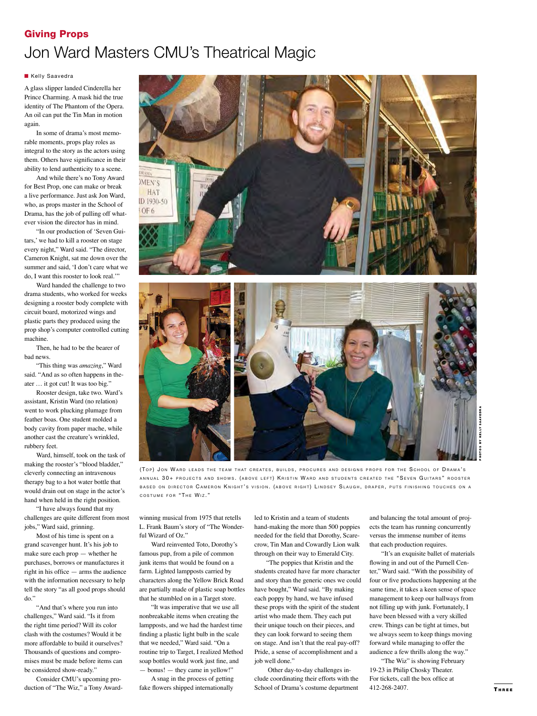## Giving Props Jon Ward Masters CMU's Theatrical Magic

#### **Kelly Saavedra**

A glass slipper landed Cinderella her Prince Charming. A mask hid the true identity of The Phantom of the Opera. An oil can put the Tin Man in motion again.

In some of drama's most memorable moments, props play roles as integral to the story as the actors using them. Others have significance in their ability to lend authenticity to a scene.

And while there's no Tony Award for Best Prop, one can make or break a live performance. Just ask Jon Ward, who, as props master in the School of Drama, has the job of pulling off whatever vision the director has in mind.

"In our production of 'Seven Guitars,' we had to kill a rooster on stage every night," Ward said. "The director, Cameron Knight, sat me down over the summer and said, 'I don't care what we do, I want this rooster to look real.'"

Ward handed the challenge to two drama students, who worked for weeks designing a rooster body complete with circuit board, motorized wings and plastic parts they produced using the prop shop's computer controlled cutting machine.

Then, he had to be the bearer of bad news.

"This thing was *amazing*," Ward said. "And as so often happens in theater … it got cut! It was too big."

Rooster design, take two. Ward's assistant, Kristin Ward (no relation) went to work plucking plumage from feather boas. One student molded a body cavity from paper mache, while another cast the creature's wrinkled, rubbery feet.

Ward, himself, took on the task of making the rooster's "blood bladder," cleverly connecting an intravenous therapy bag to a hot water bottle that would drain out on stage in the actor's hand when held in the right position.

"I have always found that my challenges are quite different from most jobs," Ward said, grinning.

Most of his time is spent on a grand scavenger hunt. It's his job to make sure each prop — whether he purchases, borrows or manufactures it right in his office — arms the audience with the information necessary to help tell the story "as all good props should do.

"And that's where you run into challenges," Ward said. "Is it from the right time period? Will its color clash with the costumes? Would it be more affordable to build it ourselves? Thousands of questions and compromises must be made before items can be considered show-ready."

Consider CMU's upcoming production of "The Wiz," a Tony Award-





(TOP) JON WARD LEADS THE TEAM THAT CREATES, BUILDS, PROCURES AND DESIGNS PROPS FOR THE SCHOOL OF DRAMA'S ANNUAL 30+ PROJECTS AND SHOWS. (ABOVE LEFT) KRISTIN WARD AND STUDENTS CREATED THE "SEVEN GUITARS" ROOSTER BASED ON DIRECTOR CAMERON KNIGHT'S VISION. (ABOVE RIGHT) LINDSEY SLAUGH, DRAPER, PUTS FINISHING TOUCHES ON A COSTUME FOR "THE WIZ."

winning musical from 1975 that retells L. Frank Baum's story of "The Wonderful Wizard of Oz."

Ward reinvented Toto, Dorothy's famous pup, from a pile of common junk items that would be found on a farm. Lighted lampposts carried by characters along the Yellow Brick Road are partially made of plastic soap bottles that he stumbled on in a Target store.

"It was imperative that we use all nonbreakable items when creating the lampposts, and we had the hardest time finding a plastic light bulb in the scale that we needed," Ward said. "On a routine trip to Target, I realized Method soap bottles would work just fine, and — bonus! — they came in yellow!"

A snag in the process of getting fake flowers shipped internationally

led to Kristin and a team of students hand-making the more than 500 poppies needed for the field that Dorothy, Scarecrow, Tin Man and Cowardly Lion walk through on their way to Emerald City.

"The poppies that Kristin and the students created have far more character and story than the generic ones we could have bought," Ward said. "By making each poppy by hand, we have infused these props with the spirit of the student artist who made them. They each put their unique touch on their pieces, and they can look forward to seeing them on stage. And isn't that the real pay-off? Pride, a sense of accomplishment and a job well done."

 Other day-to-day challenges include coordinating their efforts with the School of Drama's costume department

and balancing the total amount of projects the team has running concurrently versus the immense number of items that each production requires.

"It's an exquisite ballet of materials flowing in and out of the Purnell Center," Ward said. "With the possibility of four or five productions happening at the same time, it takes a keen sense of space management to keep our hallways from not filling up with junk. Fortunately, I have been blessed with a very skilled crew. Things can be tight at times, but we always seem to keep things moving forward while managing to offer the audience a few thrills along the way."

"The Wiz" is showing February 19-23 in Philip Chosky Theater. For tickets, call the box office at 412-268-2407.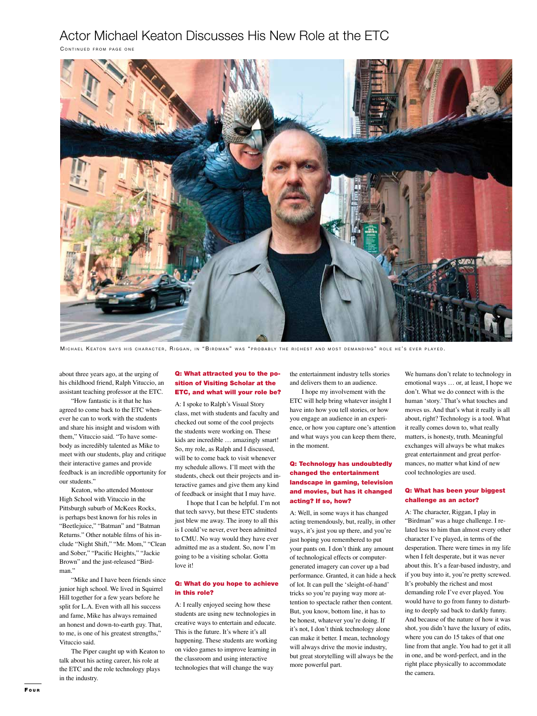## Actor Michael Keaton Discusses His New Role at the ETC

CONTINUED FROM PAGE ONE



MICHAEL KEATON SAYS HIS CHARACTER, RIGGAN, IN "BIRDMAN" WAS "PROBABLY THE RICHEST AND MOST DEMANDING" ROLE HE'S EVER PLAYED.

about three years ago, at the urging of his childhood friend, Ralph Vituccio, an assistant teaching professor at the ETC.

"How fantastic is it that he has agreed to come back to the ETC whenever he can to work with the students and share his insight and wisdom with them," Vituccio said. "To have somebody as incredibly talented as Mike to meet with our students, play and critique their interactive games and provide feedback is an incredible opportunity for our students."

Keaton, who attended Montour High School with Vituccio in the Pittsburgh suburb of McKees Rocks, is perhaps best known for his roles in "Beetlejuice," "Batman" and "Batman Returns." Other notable films of his include "Night Shift," "Mr. Mom," "Clean and Sober," "Pacific Heights," "Jackie Brown" and the just-released "Birdman."

"Mike and I have been friends since junior high school. We lived in Squirrel Hill together for a few years before he split for L.A. Even with all his success and fame, Mike has always remained an honest and down-to-earth guy. That, to me, is one of his greatest strengths," Vituccio said.

The Piper caught up with Keaton to talk about his acting career, his role at the ETC and the role technology plays in the industry.

#### Q: What attracted you to the position of Visiting Scholar at the ETC, and what will your role be?

A: I spoke to Ralph's Visual Story class, met with students and faculty and checked out some of the cool projects the students were working on. These kids are incredible … amazingly smart! So, my role, as Ralph and I discussed, will be to come back to visit whenever my schedule allows. I'll meet with the students, check out their projects and interactive games and give them any kind of feedback or insight that I may have.

I hope that I can be helpful. I'm not that tech savvy, but these ETC students just blew me away. The irony to all this is I could've never, ever been admitted to CMU. No way would they have ever admitted me as a student. So, now I'm going to be a visiting scholar. Gotta love it!

#### Q: What do you hope to achieve in this role?

A: I really enjoyed seeing how these students are using new technologies in creative ways to entertain and educate. This is the future. It's where it's all happening. These students are working on video games to improve learning in the classroom and using interactive technologies that will change the way

the entertainment industry tells stories and delivers them to an audience.

I hope my involvement with the ETC will help bring whatever insight I have into how you tell stories, or how you engage an audience in an experience, or how you capture one's attention and what ways you can keep them there, in the moment.

#### Q: Technology has undoubtedly changed the entertainment landscape in gaming, television and movies, but has it changed acting? If so, how?

A: Well, in some ways it has changed acting tremendously, but, really, in other ways, it's just you up there, and you're just hoping you remembered to put your pants on. I don't think any amount of technological effects or computergenerated imagery can cover up a bad performance. Granted, it can hide a heck of lot. It can pull the 'sleight-of-hand' tricks so you're paying way more attention to spectacle rather then content. But, you know, bottom line, it has to be honest, whatever you're doing. If it's not, I don't think technology alone can make it better. I mean, technology will always drive the movie industry, but great storytelling will always be the more powerful part.

We humans don't relate to technology in emotional ways … or, at least, I hope we don't. What we do connect with is the human 'story.' That's what touches and moves us. And that's what it really is all about, right? Technology is a tool. What it really comes down to, what really matters, is honesty, truth. Meaningful exchanges will always be what makes great entertainment and great performances, no matter what kind of new cool technologies are used.

#### Q: What has been your biggest challenge as an actor?

A: The character, Riggan, I play in "Birdman" was a huge challenge. I related less to him than almost every other character I've played, in terms of the desperation. There were times in my life when I felt desperate, but it was never about this. It's a fear-based industry, and if you buy into it, you're pretty screwed. It's probably the richest and most demanding role I've ever played. You would have to go from funny to disturbing to deeply sad back to darkly funny. And because of the nature of how it was shot, you didn't have the luxury of edits, where you can do 15 takes of that one line from that angle. You had to get it all in one, and be word-perfect, and in the right place physically to accommodate the camera.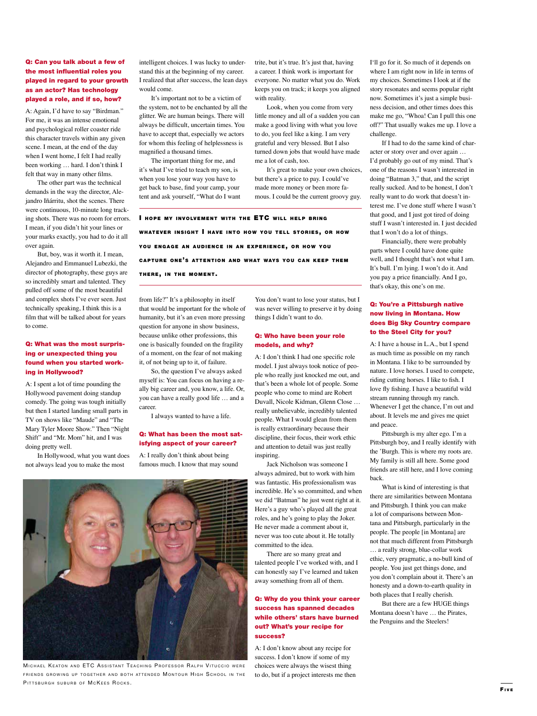#### Q: Can you talk about a few of the most influential roles you played in regard to your growth as an actor? Has technology played a role, and if so, how?

A: Again, I'd have to say "Birdman." For me, it was an intense emotional and psychological roller coaster ride this character travels within any given scene. I mean, at the end of the day when I went home, I felt I had really been working … hard. I don't think I felt that way in many other films.

The other part was the technical demands in the way the director, Alejandro Iñárritu, shot the scenes. There were continuous, 10-minute long tracking shots. There was no room for errors. I mean, if you didn't hit your lines or your marks exactly, you had to do it all over again.

But, boy, was it worth it. I mean, Alejandro and Emmanuel Lubezki, the director of photography, these guys are so incredibly smart and talented. They pulled off some of the most beautiful and complex shots I've ever seen. Just technically speaking, I think this is a film that will be talked about for years to come.

#### Q: What was the most surprising or unexpected thing you found when you started working in Hollywood?

A: I spent a lot of time pounding the Hollywood pavement doing standup comedy. The going was tough initially but then I started landing small parts in TV on shows like "Maude" and "The Mary Tyler Moore Show." Then "Night Shift" and "Mr. Mom" hit, and I was doing pretty well.

In Hollywood, what you want does not always lead you to make the most

intelligent choices. I was lucky to understand this at the beginning of my career. I realized that after success, the lean days would come.

It's important not to be a victim of the system, not to be enchanted by all the glitter. We are human beings. There will always be difficult, uncertain times. You have to accept that, especially we actors for whom this feeling of helplessness is magnified a thousand times.

The important thing for me, and it's what I've tried to teach my son, is when you lose your way you have to get back to base, find your camp, your tent and ask yourself, "What do I want

I HOPE MY INVOLVEMENT WITH THE ETC WILL HELP BRING WHATEVER INSIGHT I HAVE INTO HOW YOU TELL STORIES, OR HOW YOU ENGAGE AN AUDIENCE IN AN EXPERIENCE, OR HOW YOU CAPTURE ONE'S ATTENTION AND WHAT WAYS YOU CAN KEEP THEM THERE, IN THE MOMENT.

from life?" It's a philosophy in itself that would be important for the whole of humanity, but it's an even more pressing question for anyone in show business, because unlike other professions, this one is basically founded on the fragility of a moment, on the fear of not making it, of not being up to it, of failure.

So, the question I've always asked myself is: You can focus on having a really big career and, you know, a life. Or, you can have a really good life … and a

career. I always wanted to have a life.

#### Q: What has been the most satisfying aspect of your career?

A: I really don't think about being famous much. I know that may sound

MICHAEL KEATON AND ETC ASSISTANT TEACHING PROFESSOR RALPH VITUCCIO WERE FRIENDS GROWING UP TOGETHER AND BOTH ATTENDED MONTOUR HIGH SCHOOL IN THE PITTSBURGH SUBURB OF MCKEES ROCKS.

You don't want to lose your status, but I was never willing to preserve it by doing things I didn't want to do.

trite, but it's true. It's just that, having a career. I think work is important for everyone. No matter what you do. Work keeps you on track; it keeps you aligned

Look, when you come from very little money and all of a sudden you can make a good living with what you love to do, you feel like a king. I am very grateful and very blessed. But I also turned down jobs that would have made

It's great to make your own choices,

but there's a price to pay. I could've made more money or been more famous. I could be the current groovy guy.

with reality.

me a lot of cash, too.

#### Q: Who have been your role models, and why?

A: I don't think I had one specific role model. I just always took notice of people who really just knocked me out, and that's been a whole lot of people. Some people who come to mind are Robert Duvall, Nicole Kidman, Glenn Close … really unbelievable, incredibly talented people. What I would glean from them is really extraordinary because their discipline, their focus, their work ethic and attention to detail was just really inspiring.

Jack Nicholson was someone I always admired, but to work with him was fantastic. His professionalism was incredible. He's so committed, and when we did "Batman" he just went right at it. Here's a guy who's played all the great roles, and he's going to play the Joker. He never made a comment about it, never was too cute about it. He totally committed to the idea.

There are so many great and talented people I've worked with, and I can honestly say I've learned and taken away something from all of them.

#### Q: Why do you think your career success has spanned decades while others' stars have burned out? What's your recipe for success?

A: I don't know about any recipe for success. I don't know if some of my choices were always the wisest thing to do, but if a project interests me then I'll go for it. So much of it depends on where I am right now in life in terms of my choices. Sometimes I look at if the story resonates and seems popular right now. Sometimes it's just a simple business decision, and other times does this make me go, "Whoa! Can I pull this one off?" That usually wakes me up. I love a challenge.

If I had to do the same kind of character or story over and over again … I'd probably go out of my mind. That's one of the reasons I wasn't interested in doing "Batman 3," that, and the script really sucked. And to be honest, I don't really want to do work that doesn't interest me. I've done stuff where I wasn't that good, and I just got tired of doing stuff I wasn't interested in. I just decided that I won't do a lot of things.

Financially, there were probably parts where I could have done quite well, and I thought that's not what I am. It's bull. I'm lying. I won't do it. And you pay a price financially. And I go, that's okay, this one's on me.

#### Q: You're a Pittsburgh native now living in Montana. How does Big Sky Country compare to the Steel City for you?

A: I have a house in L.A., but I spend as much time as possible on my ranch in Montana. I like to be surrounded by nature. I love horses. I used to compete, riding cutting horses. I like to fish. I love fly fishing. I have a beautiful wild stream running through my ranch. Whenever I get the chance, I'm out and about. It levels me and gives me quiet and peace.

Pittsburgh is my alter ego. I'm a Pittsburgh boy, and I really identify with the 'Burgh. This is where my roots are. My family is still all here. Some good friends are still here, and I love coming back.

What is kind of interesting is that there are similarities between Montana and Pittsburgh. I think you can make a lot of comparisons between Montana and Pittsburgh, particularly in the people. The people [in Montana] are not that much different from Pittsburgh … a really strong, blue-collar work ethic, very pragmatic, a no-bull kind of people. You just get things done, and you don't complain about it. There's an honesty and a down-to-earth quality in both places that I really cherish.

But there are a few HUGE things Montana doesn't have … the Pirates, the Penguins and the Steelers!

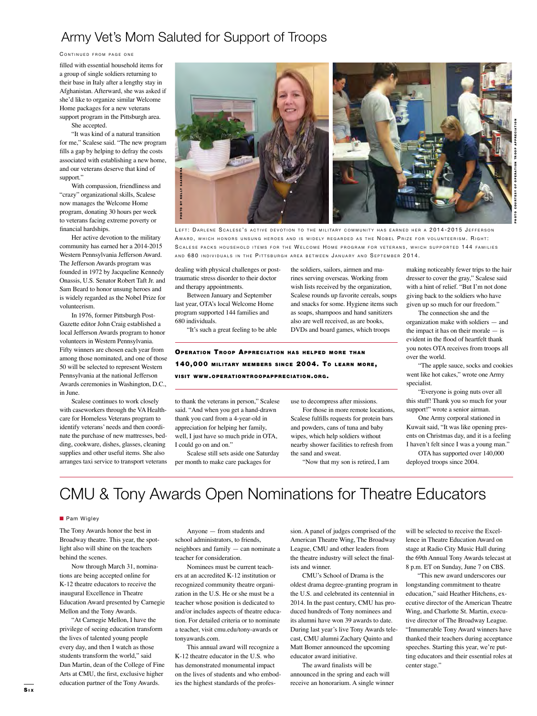## Army Vet's Mom Saluted for Support of Troops

#### CONTINUED FROM PAGE ONE

filled with essential household items for a group of single soldiers returning to their base in Italy after a lengthy stay in Afghanistan. Afterward, she was asked if she'd like to organize similar Welcome Home packages for a new veterans support program in the Pittsburgh area.

She accepted.

"It was kind of a natural transition for me," Scalese said. "The new program fills a gap by helping to defray the costs associated with establishing a new home, and our veterans deserve that kind of support."

With compassion, friendliness and "crazy" organizational skills, Scalese now manages the Welcome Home program, donating 30 hours per week to veterans facing extreme poverty or financial hardships.

Her active devotion to the military community has earned her a 2014-2015 Western Pennsylvania Jefferson Award. The Jefferson Awards program was founded in 1972 by Jacqueline Kennedy Onassis, U.S. Senator Robert Taft Jr. and Sam Beard to honor unsung heroes and is widely regarded as the Nobel Prize for volunteerism.

In 1976, former Pittsburgh Post-Gazette editor John Craig established a local Jefferson Awards program to honor volunteers in Western Pennsylvania. Fifty winners are chosen each year from among those nominated, and one of those 50 will be selected to represent Western Pennsylvania at the national Jefferson Awards ceremonies in Washington, D.C., in June.

Scalese continues to work closely with caseworkers through the VA Healthcare for Homeless Veterans program to identify veterans' needs and then coordinate the purchase of new mattresses, bedding, cookware, dishes, glasses, cleaning supplies and other useful items. She also arranges taxi service to transport veterans



LEFT: DARLENE SCALESE'S ACTIVE DEVOTION TO THE MILITARY COMMUNITY HAS EARNED HER A 2014-2015 JEFFERSON AWARD, WHICH HONORS UNSUNG HEROES AND IS WIDELY REGARDED AS THE NOBEL PRIZE FOR VOLUNTEERISM. RIGHT: SCALESE PACKS HOUSEHOLD ITEMS FOR THE WELCOME HOME PROGRAM FOR VETERANS, WHICH SUPPORTED 144 FAMILIES AND 680 INDIVIDUALS IN THE PITTSBURGH AREA BETWEEN JANUARY AND SEPTEMBER 2014.

dealing with physical challenges or posttraumatic stress disorder to their doctor and therapy appointments.

Between January and September last year, OTA's local Welcome Home program supported 144 families and 680 individuals.

"It's such a great feeling to be able

rines serving overseas. Working from wish lists received by the organization, Scalese rounds up favorite cereals, soups and snacks for some. Hygiene items such as soaps, shampoos and hand sanitizers also are well received, as are books, DVDs and board games, which troops

the soldiers, sailors, airmen and ma-

making noticeably fewer trips to the hair dresser to cover the gray," Scalese said with a hint of relief. "But I'm not done giving back to the soldiers who have given up so much for our freedom." The connection she and the

PHOTO COURTESY OF OPERATION TROOP APPRECIATION

organization make with soldiers — and the impact it has on their morale  $-$  is evident in the flood of heartfelt thank you notes OTA receives from troops all over the world.

"The apple sauce, socks and cookies went like hot cakes," wrote one Army specialist.

"Everyone is going nuts over all this stuff! Thank you so much for your support!" wrote a senior airman.

One Army corporal stationed in Kuwait said, "It was like opening presents on Christmas day, and it is a feeling I haven't felt since I was a young man."

OTA has supported over 140,000 deployed troops since 2004.

### OPERATION TROOP APPRECIATION HAS HELPED MORE THAN 140,000 MILITARY MEMBERS SINCE 2004. TO LEARN MORE, **VISIT WWW.OPERATIONTROOPAPPRECIATION.ORG.**

to thank the veterans in person," Scalese said. "And when you get a hand-drawn thank you card from a 4-year-old in appreciation for helping her family, well, I just have so much pride in OTA, I could go on and on."

Scalese still sets aside one Saturday per month to make care packages for

use to decompress after missions.

For those in more remote locations, Scalese fulfills requests for protein bars and powders, cans of tuna and baby wipes, which help soldiers without nearby shower facilities to refresh from the sand and sweat.

"Now that my son is retired, I am

# CMU & Tony Awards Open Nominations for Theatre Educators

#### **n** Pam Wigley

The Tony Awards honor the best in Broadway theatre. This year, the spotlight also will shine on the teachers behind the scenes.

Now through March 31, nominations are being accepted online for K-12 theatre educators to receive the inaugural Excellence in Theatre Education Award presented by Carnegie Mellon and the Tony Awards.

"At Carnegie Mellon, I have the privilege of seeing education transform the lives of talented young people every day, and then I watch as those students transform the world," said Dan Martin, dean of the College of Fine Arts at CMU, the first, exclusive higher education partner of the Tony Awards.

Anyone — from students and school administrators, to friends, neighbors and family — can nominate a teacher for consideration.

Nominees must be current teachers at an accredited K-12 institution or recognized community theatre organization in the U.S. He or she must be a teacher whose position is dedicated to and/or includes aspects of theatre education. For detailed criteria or to nominate a teacher, visit cmu.edu/tony-awards or tonyawards.com.

This annual award will recognize a K-12 theatre educator in the U.S. who has demonstrated monumental impact on the lives of students and who embodies the highest standards of the profession. A panel of judges comprised of the American Theatre Wing, The Broadway League, CMU and other leaders from the theatre industry will select the finalists and winner.

CMU's School of Drama is the oldest drama degree-granting program in the U.S. and celebrated its centennial in 2014. In the past century, CMU has produced hundreds of Tony nominees and its alumni have won 39 awards to date. During last year's live Tony Awards telecast, CMU alumni Zachary Quinto and Matt Bomer announced the upcoming educator award initiative.

The award finalists will be announced in the spring and each will receive an honorarium. A single winner

will be selected to receive the Excellence in Theatre Education Award on stage at Radio City Music Hall during the 69th Annual Tony Awards telecast at 8 p.m. ET on Sunday, June 7 on CBS.

"This new award underscores our longstanding commitment to theatre education," said Heather Hitchens, executive director of the American Theatre Wing, and Charlotte St. Martin, executive director of The Broadway League. "Innumerable Tony Award winners have thanked their teachers during acceptance speeches. Starting this year, we're putting educators and their essential roles at center stage."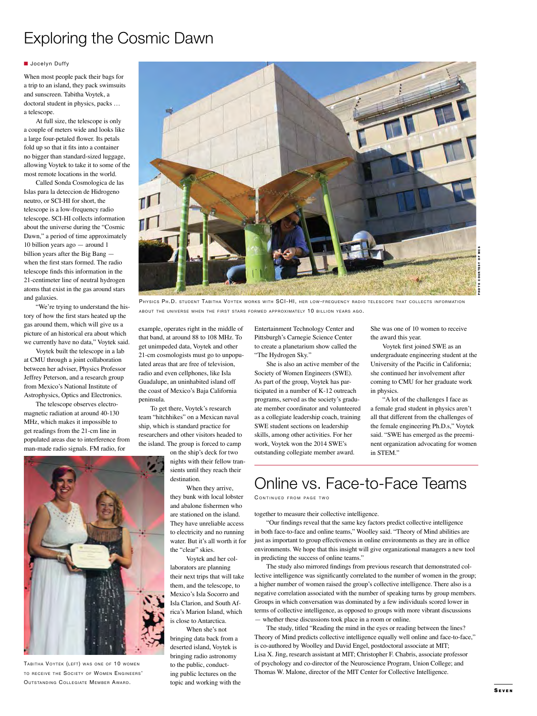# Exploring the Cosmic Dawn

#### **N** Jocelyn Duffy

When most people pack their bags for a trip to an island, they pack swimsuits and sunscreen. Tabitha Voytek, a doctoral student in physics, packs … a telescope.

At full size, the telescope is only a couple of meters wide and looks like a large four-petaled flower. Its petals fold up so that it fits into a container no bigger than standard-sized luggage, allowing Voytek to take it to some of the most remote locations in the world.

Called Sonda Cosmologica de las Islas para la deteccion de Hidrogeno neutro, or SCI-HI for short, the telescope is a low-frequency radio telescope. SCI-HI collects information about the universe during the "Cosmic Dawn," a period of time approximately 10 billion years ago — around 1 billion years after the Big Bang when the first stars formed. The radio telescope finds this information in the 21-centimeter line of neutral hydrogen atoms that exist in the gas around stars and galaxies.

"We're trying to understand the history of how the first stars heated up the gas around them, which will give us a picture of an historical era about which we currently have no data," Voytek said.

Voytek built the telescope in a lab at CMU through a joint collaboration between her adviser, Physics Professor Jeffrey Peterson, and a research group from Mexico's National Institute of Astrophysics, Optics and Electronics.

The telescope observes electromagnetic radiation at around 40-130 MHz, which makes it impossible to get readings from the 21-cm line in populated areas due to interference from man-made radio signals. FM radio, for



TABITHA VOYTEK (LEFT) WAS ONE OF 10 WOMEN TO RECEIVE THE SOCIETY OF WOMEN ENGINEERS' OUTSTANDING COLLEGIATE MEMBER AWARD



PHYSICS PH.D. STUDENT TABITHA VOYTEK WORKS WITH SCI-HI, HER LOW-FREQUENCY RADIO TELESCOPE THAT COLLECTS INFORMATION ABOUT THE UNIVERSE WHEN THE FIRST STARS FORMED APPROXIMATELY 10 BILLION YEARS AGO.

example, operates right in the middle of that band, at around 88 to 108 MHz. To get unimpeded data, Voytek and other 21-cm cosmologists must go to unpopulated areas that are free of television, radio and even cellphones, like Isla Guadalupe, an uninhabited island off the coast of Mexico's Baja California peninsula.

To get there, Voytek's research team "hitchhikes" on a Mexican naval ship, which is standard practice for researchers and other visitors headed to the island. The group is forced to camp

> on the ship's deck for two nights with their fellow transients until they reach their destination.

When they arrive,

they bunk with local lobster and abalone fishermen who are stationed on the island. They have unreliable access to electricity and no running water. But it's all worth it for the "clear" skies.

Voytek and her collaborators are planning their next trips that will take them, and the telescope, to Mexico's Isla Socorro and Isla Clarion, and South Africa's Marion Island, which is close to Antarctica.

When she's not bringing data back from a deserted island, Voytek is bringing radio astronomy to the public, conducting public lectures on the topic and working with the Entertainment Technology Center and Pittsburgh's Carnegie Science Center to create a planetarium show called the "The Hydrogen Sky."

She is also an active member of the Society of Women Engineers (SWE). As part of the group, Voytek has participated in a number of K-12 outreach programs, served as the society's graduate member coordinator and volunteered as a collegiate leadership coach, training SWE student sections on leadership skills, among other activities. For her work, Voytek won the 2014 SWE's outstanding collegiate member award.

She was one of 10 women to receive the award this year.

Voytek first joined SWE as an undergraduate engineering student at the University of the Pacific in California; she continued her involvement after coming to CMU for her graduate work in physics.

"A lot of the challenges I face as a female grad student in physics aren't all that different from the challenges of the female engineering Ph.D.s," Voytek said. "SWE has emerged as the preeminent organization advocating for women in STEM."

# Online vs. Face-to-Face Teams

CONTINUED FROM PAGE TWO

together to measure their collective intelligence.

"Our findings reveal that the same key factors predict collective intelligence in both face-to-face and online teams," Woolley said. "Theory of Mind abilities are just as important to group effectiveness in online environments as they are in office environments. We hope that this insight will give organizational managers a new tool in predicting the success of online teams."

The study also mirrored findings from previous research that demonstrated collective intelligence was significantly correlated to the number of women in the group; a higher number of women raised the group's collective intelligence. There also is a negative correlation associated with the number of speaking turns by group members. Groups in which conversation was dominated by a few individuals scored lower in terms of collective intelligence, as opposed to groups with more vibrant discussions — whether these discussions took place in a room or online.

The study, titled "Reading the mind in the eyes or reading between the lines? Theory of Mind predicts collective intelligence equally well online and face-to-face," is co-authored by Woolley and David Engel, postdoctoral associate at MIT; Lisa X. Jing, research assistant at MIT; Christopher F. Chabris, associate professor of psychology and co-director of the Neuroscience Program, Union College; and Thomas W. Malone, director of the MIT Center for Collective Intelligence.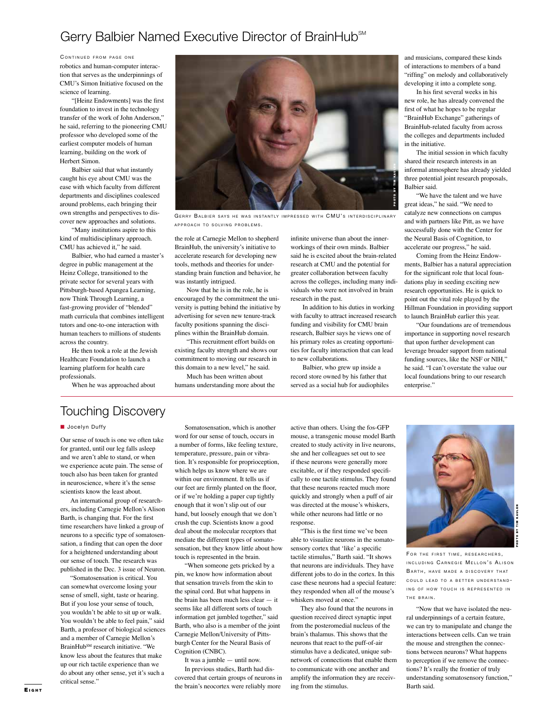## Gerry Balbier Named Executive Director of BrainHub<sup>SM</sup>

CONTINUED FROM PAGE ONE robotics and human-computer interaction that serves as the underpinnings of CMU's Simon Initiative focused on the science of learning.

"[Heinz Endowments] was the first foundation to invest in the technology transfer of the work of John Anderson," he said, referring to the pioneering CMU professor who developed some of the earliest computer models of human learning, building on the work of Herbert Simon.

Balbier said that what instantly caught his eye about CMU was the ease with which faculty from different departments and disciplines coalesced around problems, each bringing their own strengths and perspectives to discover new approaches and solutions.

"Many institutions aspire to this kind of multidisciplinary approach. CMU has achieved it," he said.

Balbier, who had earned a master's degree in public management at the Heinz College, transitioned to the private sector for several years with Pittsburgh-based Apangea Learning, now Think Through Learning, a fast-growing provider of "blended" math curricula that combines intelligent tutors and one-to-one interaction with human teachers to millions of students across the country.

He then took a role at the Jewish Healthcare Foundation to launch a learning platform for health care professionals.

When he was approached about



GERRY BALBIER SAYS HE WAS INSTANTLY IMPRESSED WITH CMU'S INTERDISCIPLINARY APPROACH TO SOLVING PROBLEMS.

the role at Carnegie Mellon to shepherd BrainHub, the university's initiative to accelerate research for developing new tools, methods and theories for understanding brain function and behavior, he was instantly intrigued.

Now that he is in the role, he is encouraged by the commitment the university is putting behind the initiative by advertising for seven new tenure-track faculty positions spanning the disciplines within the BrainHub domain.

"This recruitment effort builds on existing faculty strength and shows our commitment to moving our research in this domain to a new level," he said.

Much has been written about humans understanding more about the infinite universe than about the innerworkings of their own minds. Balbier said he is excited about the brain-related research at CMU and the potential for greater collaboration between faculty across the colleges, including many individuals who were not involved in brain research in the past.

In addition to his duties in working with faculty to attract increased research funding and visibility for CMU brain research, Balbier says he views one of his primary roles as creating opportunities for faculty interaction that can lead to new collaborations.

Balbier, who grew up inside a record store owned by his father that served as a social hub for audiophiles and musicians, compared these kinds of interactions to members of a band "riffing" on melody and collaboratively developing it into a complete song.

In his first several weeks in his new role, he has already convened the first of what he hopes to be regular "BrainHub Exchange" gatherings of BrainHub-related faculty from across the colleges and departments included in the initiative.

The initial session in which faculty shared their research interests in an informal atmosphere has already yielded three potential joint research proposals, Balbier said.

"We have the talent and we have great ideas," he said. "We need to catalyze new connections on campus and with partners like Pitt, as we have successfully done with the Center for the Neural Basis of Cognition, to accelerate our progress," he said.

Coming from the Heinz Endowments, Balbier has a natural appreciation for the significant role that local foundations play in seeding exciting new research opportunities. He is quick to point out the vital role played by the Hillman Foundation in providing support to launch BrainHub earlier this year.

"Our foundations are of tremendous importance in supporting novel research that upon further development can leverage broader support from national funding sources, like the NSF or NIH," he said. "I can't overstate the value our local foundations bring to our research enterprise."

## Touching Discovery

#### **D** Jocelyn Duffy

Our sense of touch is one we often take for granted, until our leg falls asleep and we aren't able to stand, or when we experience acute pain. The sense of touch also has been taken for granted in neuroscience, where it's the sense scientists know the least about.

An international group of researchers, including Carnegie Mellon's Alison Barth, is changing that. For the first time researchers have linked a group of neurons to a specific type of somatosensation, a finding that can open the door for a heightened understanding about our sense of touch. The research was published in the Dec. 3 issue of Neuron.

"Somatosensation is critical. You can somewhat overcome losing your nse of smell, sight, taste or hearing. But if you lose your sense of touch, you wouldn't be able to sit up or walk. You wouldn't be able to feel pain," said Barth, a professor of biological sciences and a member of Carnegie Mellon's BrainHubSM research initiative. "We know less about the features that make up our rich tactile experience than we do about any other sense, yet it's such a critical sense."

Somatosensation, which is another word for our sense of touch, occurs in a number of forms, like feeling texture, temperature, pressure, pain or vibration. It's responsible for proprioception, which helps us know where we are within our environment. It tells us if our feet are firmly planted on the floor, or if we're holding a paper cup tightly enough that it won't slip out of our hand, but loosely enough that we don't crush the cup. Scientists know a good deal about the molecular receptors that mediate the different types of somatosensation, but they know little about how touch is represented in the brain.

"When someone gets pricked by a pin, we know how information about that sensation travels from the skin to the spinal cord. But what happens in the brain has been much less clear — it seems like all different sorts of touch information get jumbled together," said Barth, who also is a member of the joint Carnegie Mellon/University of Pittsburgh Center for the Neural Basis of Cognition (CNBC).

It was a jumble — until now.

In previous studies, Barth had discovered that certain groups of neurons in the brain's neocortex were reliably more

active than others. Using the fos-GFP mouse, a transgenic mouse model Barth created to study activity in live neurons, she and her colleagues set out to see if these neurons were generally more excitable, or if they responded specifically to one tactile stimulus. They found that these neurons reacted much more quickly and strongly when a puff of air was directed at the mouse's whiskers, while other neurons had little or no response.

"This is the first time we've been able to visualize neurons in the somatosensory cortex that 'like' a specific tactile stimulus," Barth said. "It shows that neurons are individuals. They have different jobs to do in the cortex. In this case these neurons had a special feature: they responded when all of the mouse's whiskers moved at once."

They also found that the neurons in question received direct synaptic input from the posteromedial nucleus of the brain's thalamus. This shows that the neurons that react to the puff-of-air stimulus have a dedicated, unique subnetwork of connections that enable them to communicate with one another and amplify the information they are receiving from the stimulus.



FOR THE FIRST TIME, RESEARCHERS, INCLUDING CARNEGIE MELLON'S ALISON BARTH, HAVE MADE A DISCOVERY THAT COULD LEAD TO A BETTER UNDERSTAND-ING OF HOW TOUCH IS REPRESENTED IN THE BRAIN.

"Now that we have isolated the neural underpinnings of a certain feature, we can try to manipulate and change the interactions between cells. Can we train the mouse and strengthen the connections between neurons? What happens to perception if we remove the connections? It's really the frontier of truly understanding somatosensory function," Barth said.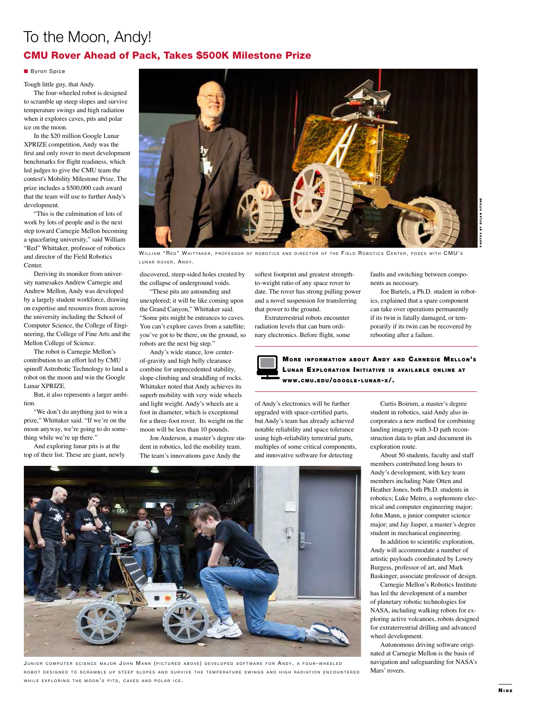## To the Moon, Andy!

### CMU Rover Ahead of Pack, Takes \$500K Milestone Prize

#### **Byron Spice**

Tough little guy, that Andy.

The four-wheeled robot is designed to scramble up steep slopes and survive temperature swings and high radiation when it explores caves, pits and polar ice on the moon.

In the \$20 million Google Lunar XPRIZE competition, Andy was the first and only rover to meet development benchmarks for flight readiness, which led judges to give the CMU team the contest's Mobility Milestone Prize. The prize includes a \$500,000 cash award that the team will use to further Andy's development.

"This is the culmination of lots of work by lots of people and is the next step toward Carnegie Mellon becoming a spacefaring university," said William "Red" Whittaker, professor of robotics and director of the Field Robotics Center.

Deriving its moniker from university namesakes Andrew Carnegie and Andrew Mellon, Andy was developed by a largely student workforce, drawing on expertise and resources from across the university including the School of Computer Science, the College of Engineering, the College of Fine Arts and the Mellon College of Science.

The robot is Carnegie Mellon's contribution to an effort led by CMU spinoff Astrobotic Technology to land a robot on the moon and win the Google Lunar XPRIZE.

But, it also represents a larger ambition.

"We don't do anything just to win a prize," Whittaker said. "If we're on the moon anyway, we're going to do something while we're up there."

And exploring lunar pits is at the top of their list. These are giant, newly



WILLIAM "RED" WHITTAKER, PROFESSOR OF ROBOTICS AND DIRECTOR OF THE FIELD ROBOTICS CENTER, POSES WITH CMU'S LUNAR ROVER, ANDY.

discovered, steep-sided holes created by the collapse of underground voids.

"These pits are astounding and unexplored; it will be like coming upon the Grand Canyon," Whittaker said. "Some pits might be entrances to caves. You can't explore caves from a satellite; you've got to be there, on the ground, so robots are the next big step."

Andy's wide stance, low centerof-gravity and high belly clearance combine for unprecedented stability, slope-climbing and straddling of rocks. Whittaker noted that Andy achieves its superb mobility with very wide wheels and light weight. Andy's wheels are a foot in diameter, which is exceptional for a three-foot rover. Its weight on the moon will be less than 10 pounds.

Jon Anderson, a master's degree student in robotics, led the mobility team. The team's innovations gave Andy the

softest footprint and greatest strengthto-weight ratio of any space rover to date. The rover has strong pulling power and a novel suspension for transferring that power to the ground.

Extraterrestrial robots encounter radiation levels that can burn ordinary electronics. Before flight, some faults and switching between components as necessary.

PHOTOS BY DYLAN VITONE

Joe Bartels, a Ph.D. student in robotics, explained that a spare component can take over operations permanently if its twin is fatally damaged, or temporarily if its twin can be recovered by rebooting after a failure.



of Andy's electronics will be further upgraded with space-certified parts, but Andy's team has already achieved notable reliability and space tolerance using high-reliability terrestrial parts, multiples of some critical components, and innovative software for detecting

Curtis Boirum, a master's degree student in robotics, said Andy also incorporates a new method for combining landing imagery with 3-D path reconstruction data to plan and document its exploration route.

About 50 students, faculty and staff members contributed long hours to Andy's development, with key team members including Nate Otten and Heather Jones, both Ph.D. students in robotics; Luke Metro, a sophomore electrical and computer engineering major; John Mann, a junior computer science major; and Jay Jasper, a master's degree student in mechanical engineering.

In addition to scientific exploration, Andy will accommodate a number of artistic payloads coordinated by Lowry Burgess, professor of art, and Mark Baskinger, associate professor of design.

Carnegie Mellon's Robotics Institute has led the development of a number of planetary robotic technologies for NASA, including walking robots for exploring active volcanoes, robots designed for extraterrestrial drilling and advanced wheel development.

Autonomous driving software originated at Carnegie Mellon is the basis of navigation and safeguarding for NASA's Mars' rovers.



JUNIOR COMPUTER SCIENCE MAJOR JOHN MANN (PICTURED ABOVE) DEVELOPED SOFTWARE FOR ANDY, A FOUR-WHEELED ROBOT DESIGNED TO SCRAMBLE UP STEEP SLOPES AND SURVIVE THE TEMPERATURE SWINGS AND HIGH RADIATION ENCOUNTERED WHILE EXPLORING THE MOON'S PITS, CAVES AND POLAR ICE.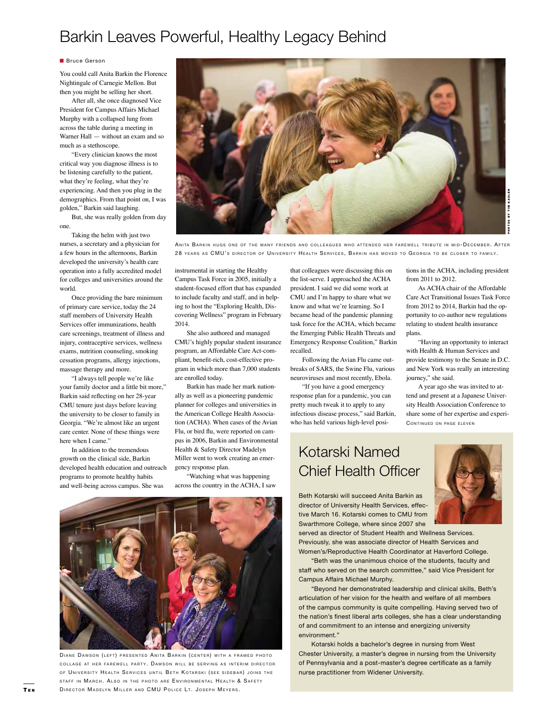# Barkin Leaves Powerful, Healthy Legacy Behind

#### **Bruce Gerson**

You could call Anita Barkin the Florence Nightingale of Carnegie Mellon. But then you might be selling her short.

After all, she once diagnosed Vice President for Campus Affairs Michael Murphy with a collapsed lung from across the table during a meeting in Warner Hall — without an exam and so much as a stethoscope.

"Every clinician knows the most critical way you diagnose illness is to be listening carefully to the patient, what they're feeling, what they're experiencing. And then you plug in the demographics. From that point on, I was golden," Barkin said laughing.

But, she was really golden from day one.

Taking the helm with just two nurses, a secretary and a physician for a few hours in the afternoons, Barkin developed the university's health care operation into a fully accredited model for colleges and universities around the world.

Once providing the bare minimum of primary care service, today the 24 staff members of University Health Services offer immunizations, health care screenings, treatment of illness and injury, contraceptive services, wellness exams, nutrition counseling, smoking cessation programs, allergy injections, massage therapy and more.

"I always tell people we're like your family doctor and a little bit more," Barkin said reflecting on her 28-year CMU tenure just days before leaving the university to be closer to family in Georgia. "We're almost like an urgent care center. None of these things were here when I came."

In addition to the tremendous growth on the clinical side, Barkin developed health education and outreach programs to promote healthy habits and well-being across campus. She was



ANITA BARKIN HUGS ONE OF THE MANY FRIENDS AND COLLEAGUES WHO ATTENDED HER FAREWELL TRIBUTE IN MID-DECEMBER. AFTER 28 YEARS AS CMU'S DIRECTOR OF UNIVERSITY HEALTH SERVICES, BARKIN HAS MOVED TO GEORGIA TO BE CLOSER TO FAMILY.

instrumental in starting the Healthy Campus Task Force in 2005, initially a student-focused effort that has expanded to include faculty and staff, and in helping to host the "Exploring Health, Discovering Wellness" program in February 2014.

She also authored and managed CMU's highly popular student insurance program, an Affordable Care Act-compliant, benefit-rich, cost-effective program in which more than 7,000 students are enrolled today.

Barkin has made her mark nationally as well as a pioneering pandemic planner for colleges and universities in the American College Health Association (ACHA). When cases of the Avian Flu, or bird flu, were reported on campus in 2006, Barkin and Environmental Health & Safety Director Madelyn Miller went to work creating an emergency response plan.

"Watching what was happening across the country in the ACHA, I saw

that colleagues were discussing this on the list-serve. I approached the ACHA president. I said we did some work at CMU and I'm happy to share what we know and what we're learning. So I became head of the pandemic planning task force for the ACHA, which became the Emerging Public Health Threats and Emergency Response Coalition," Barkin recalled.

Following the Avian Flu came outbreaks of SARS, the Swine Flu, various neuroviruses and most recently, Ebola.

"If you have a good emergency response plan for a pandemic, you can pretty much tweak it to apply to any infectious disease process," said Barkin, who has held various high-level posi-

tions in the ACHA, including president from 2011 to 2012.

As ACHA chair of the Affordable Care Act Transitional Issues Task Force from 2012 to 2014, Barkin had the opportunity to co-author new regulations relating to student health insurance plans. EVELL TRIBUTE IN MID-DECEMBER. AFTER<br>GEORGIA TO BE CLOSER TO FAMILY.<br>tions in the ACHA, including president<br>from 2011 to 2012.<br>As ACHA chair of the Affordable<br>Care Act Transitional Issues Task Force<br>from 2012 to 2014, Bark

"Having an opportunity to interact with Health & Human Services and provide testimony to the Senate in D.C. and New York was really an interesting journey," she said.

A year ago she was invited to attend and present at a Japanese University Health Association Conference to share some of her expertise and experi-

# Kotarski Named Chief Health Officer



Beth Kotarski will succeed Anita Barkin as director of University Health Services, effective March 16. Kotarski comes to CMU from Swarthmore College, where since 2007 she

served as director of Student Health and Wellness Services. Previously, she was associate director of Health Services and Women's/Reproductive Health Coordinator at Haverford College.

"Beth was the unanimous choice of the students, faculty and staff who served on the search committee," said Vice President for Campus Affairs Michael Murphy.

"Beyond her demonstrated leadership and clinical skills, Beth's articulation of her vision for the health and welfare of all members of the campus community is quite compelling. Having served two of the nation's finest liberal arts colleges, she has a clear understanding of and commitment to an intense and energizing university environment."

Kotarski holds a bachelor's degree in nursing from West Chester University, a master's degree in nursing from the University of Pennsylvania and a post-master's degree certificate as a family nurse practitioner from Widener University.



DIANE DAWSON (LEFT) PRESENTED ANITA BARKIN (CENTER) WITH A FRAMED PHOTO COLLAGE AT HER FAREWELL PARTY. DAWSON WILL BE SERVING AS INTERIM DIRECTOR OF UNIVERSITY HEALTH SERVICES UNTIL BETH KOTARSKI (SEE SIDEBAR) JOINS THE STAFF IN MARCH. ALSO IN THE PHOTO ARE ENVIRONMENTAL HEALTH & SAFETY DIRECTOR MADELYN MILLER AND CMU POLICE LT. JOSEPH MEYERS.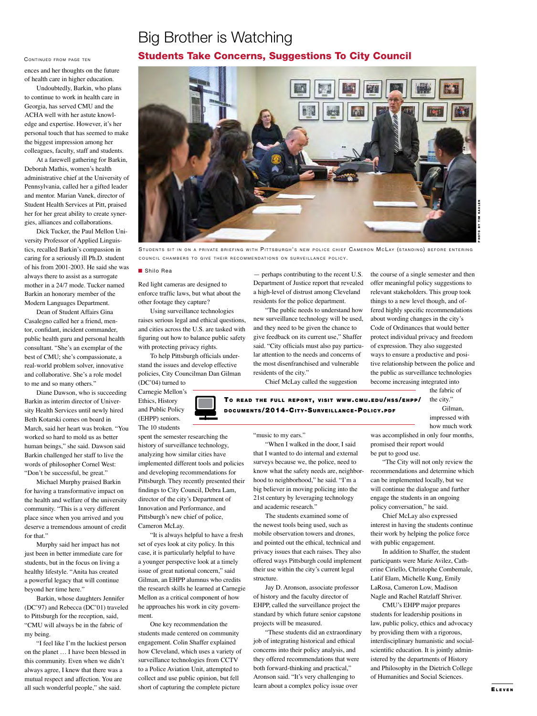## Big Brother is Watching Students Take Concerns, Suggestions To City Council

#### CONTINUED FROM PAGE TEN

ences and her thoughts on the future of health care in higher education.

Undoubtedly, Barkin, who plans to continue to work in health care in Georgia, has served CMU and the ACHA well with her astute knowledge and expertise. However, it's her personal touch that has seemed to make the biggest impression among her colleagues, faculty, staff and students.

At a farewell gathering for Barkin, Deborah Mathis, women's health administrative chief at the University of Pennsylvania, called her a gifted leader and mentor. Marian Vanek, director of Student Health Services at Pitt, praised her for her great ability to create synergies, alliances and collaborations.

Dick Tucker, the Paul Mellon University Professor of Applied Linguistics, recalled Barkin's compassion in caring for a seriously ill Ph.D. student of his from 2001-2003. He said she was always there to assist as a surrogate mother in a 24/7 mode. Tucker named Barkin an honorary member of the Modern Languages Department.

Dean of Student Affairs Gina Casalegno called her a friend, mentor, confidant, incident commander, public health guru and personal health consultant. "She's an exemplar of the best of CMU; she's compassionate, a real-world problem solver, innovative and collaborative. She's a role model to me and so many others."

Diane Dawson, who is succeeding Barkin as interim director of University Health Services until newly hired Beth Kotarski comes on board in March, said her heart was broken. "You worked so hard to mold us as better human beings," she said. Dawson said Barkin challenged her staff to live the words of philosopher Cornel West: "Don't be successful, be great."

Michael Murphy praised Barkin for having a transformative impact on the health and welfare of the university community. "This is a very different place since when you arrived and you deserve a tremendous amount of credit for that."

Murphy said her impact has not just been in better immediate care for students, but in the focus on living a healthy lifestyle. "Anita has created a powerful legacy that will continue beyond her time here."

Barkin, whose daughters Jennifer (DC'97) and Rebecca (DC'01) traveled to Pittsburgh for the reception, said, "CMU will always be in the fabric of my being.

"I feel like I'm the luckiest person on the planet … I have been blessed in this community. Even when we didn't always agree, I knew that there was a mutual respect and affection. You are all such wonderful people," she said.



STUDENTS SIT IN ON A PRIVATE BRIEFING WITH PITTSBURGH'S NEW POLICE CHIEF CAMERON MCLAY (STANDING) BEFORE ENTERING COUNCIL CHAMBERS TO GIVE THEIR RECOMMENDATIONS ON SURVEILLANCE POLICY.

#### ■ Shilo Rea

Red light cameras are designed to enforce traffic laws, but what about the other footage they capture?

Using surveillance technologies raises serious legal and ethical questions, and cities across the U.S. are tasked with figuring out how to balance public safety with protecting privacy rights.

To help Pittsburgh officials understand the issues and develop effective policies, City Councilman Dan Gilman (DC'04) turned to

spent the semester researching the history of surveillance technology, analyzing how similar cities have implemented different tools and policies and developing recommendations for Pittsburgh. They recently presented their findings to City Council, Debra Lam, director of the city's Department of Innovation and Performance, and Pittsburgh's new chief of police,

"It is always helpful to have a fresh

set of eyes look at city policy. In this case, it is particularly helpful to have a younger perspective look at a timely issue of great national concern," said Gilman, an EHPP alumnus who credits the research skills he learned at Carnegie Mellon as a critical component of how he approaches his work in city govern-

One key recommendation the students made centered on community engagement. Colin Shaffer explained how Cleveland, which uses a variety of surveillance technologies from CCTV to a Police Aviation Unit, attempted to collect and use public opinion, but fell short of capturing the complete picture

Carnegie Mellon's Ethics, History and Public Policy (EHPP) seniors.

The 10 students

Cameron McLay.

ment.

Department of Justice report that revealed a high-level of distrust among Cleveland residents for the police department. "The public needs to understand how

— perhaps contributing to the recent U.S.

new surveillance technology will be used, and they need to be given the chance to give feedback on its current use," Shaffer said. "City officials must also pay particular attention to the needs and concerns of the most disenfranchised and vulnerable residents of the city."

Chief McLay called the suggestion

the course of a single semester and then offer meaningful policy suggestions to relevant stakeholders. This group took things to a new level though, and offered highly specific recommendations about wording changes in the city's Code of Ordinances that would better protect individual privacy and freedom of expression. They also suggested ways to ensure a productive and positive relationship between the police and the public as surveillance technologies become increasing integrated into

TO READ THE FULL REPORT, VISIT WWW.CMU.EDU/HSS/EHPP/ DOCUMENTS/2014-CITY-SURVEILLANCE-POLICY.PDF

"music to my ears."

"When I walked in the door, I said that I wanted to do internal and external surveys because we, the police, need to know what the safety needs are, neighborhood to neighborhood," he said. "I'm a big believer in moving policing into the 21st century by leveraging technology and academic research."

The students examined some of the newest tools being used, such as mobile observation towers and drones, and pointed out the ethical, technical and privacy issues that each raises. They also offered ways Pittsburgh could implement their use within the city's current legal structure.

Jay D. Aronson, associate professor of history and the faculty director of EHPP, called the surveillance project the standard by which future senior capstone projects will be measured.

"These students did an extraordinary job of integrating historical and ethical concerns into their policy analysis, and they offered recommendations that were both forward-thinking and practical," Aronson said. "It's very challenging to learn about a complex policy issue over

the fabric of the city." Gilman,

impressed with how much work

was accomplished in only four months, promised their report would be put to good use.

"The City will not only review the recommendations and determine which can be implemented locally, but we will continue the dialogue and further engage the students in an ongoing policy conversation," he said.

Chief McLay also expressed interest in having the students continue their work by helping the police force with public engagement.

In addition to Shaffer, the student participants were Marie Avilez, Catherine Ciriello, Christophe Combemale, Latif Elam, Michelle Kung, Emily LaRosa, Cameron Low, Madison Nagle and Rachel Ratzlaff Shriver.

CMU's EHPP major prepares students for leadership positions in law, public policy, ethics and advocacy by providing them with a rigorous, interdisciplinary humanistic and socialscientific education. It is jointly administered by the departments of History and Philosophy in the Dietrich College of Humanities and Social Sciences.